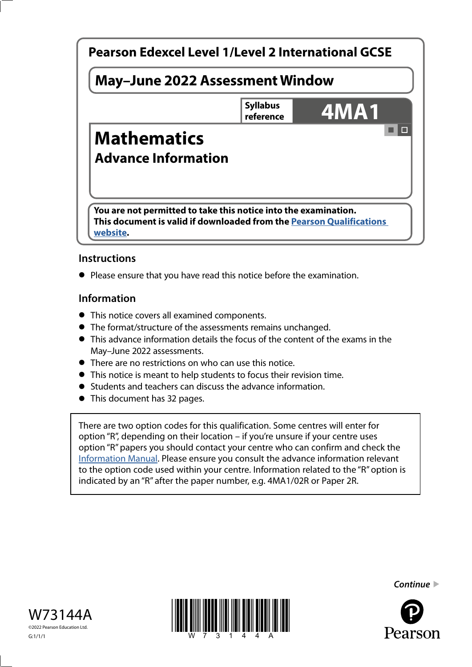

# **Instructions**

**•** Please ensure that you have read this notice before the examination.

### **Information**

- This notice covers all examined components.
- The format/structure of the assessments remains unchanged.
- This advance information details the focus of the content of the exams in the May–June 2022 assessments.
- There are no restrictions on who can use this notice.
- This notice is meant to help students to focus their revision time.
- Students and teachers can discuss the advance information.
- This document has 32 pages.

There are two option codes for this qualification. Some centres will enter for option "R", depending on their location – if you're unsure if your centre uses option "R" papers you should contact your centre who can confirm and check the [Information Manual.](https://qualifications.pearson.com/content/dam/pdf/Support/Information-manual/6-International-GCSE.pdf) Please ensure you consult the advance information relevant to the option code used within your centre. Information related to the "R" option is indicated by an "R" after the paper number, e.g. 4MA1/02R or Paper 2R.







*Continue* 

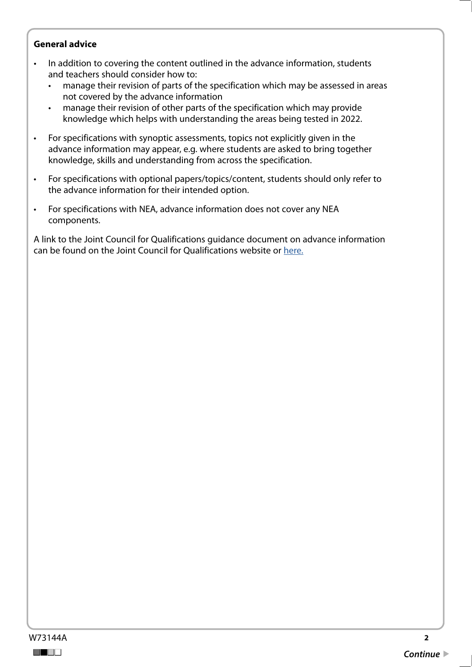#### **General advice**

- In addition to covering the content outlined in the advance information, students and teachers should consider how to:
	- manage their revision of parts of the specification which may be assessed in areas not covered by the advance information
	- manage their revision of other parts of the specification which may provide knowledge which helps with understanding the areas being tested in 2022.
- For specifications with synoptic assessments, topics not explicitly given in the advance information may appear, e.g. where students are asked to bring together knowledge, skills and understanding from across the specification.
- For specifications with optional papers/topics/content, students should only refer to the advance information for their intended option.
- For specifications with NEA, advance information does not cover any NEA components.

A link to the Joint Council for Qualifications guidance document on advance information can be found on the Joint Council for Qualifications website or [here.](https://www.jcq.org.uk/wp-content/uploads/2021/10/Advance-Information-for-General-Qualifications-2021-22.pdf)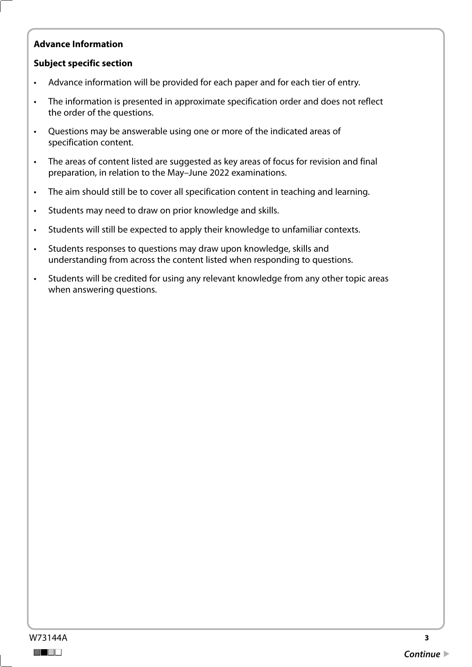# **Advance Information**

#### **Subject specific section**

- Advance information will be provided for each paper and for each tier of entry.
- The information is presented in approximate specification order and does not reflect the order of the questions.
- Questions may be answerable using one or more of the indicated areas of specification content.
- The areas of content listed are suggested as key areas of focus for revision and final preparation, in relation to the May–June 2022 examinations.
- The aim should still be to cover all specification content in teaching and learning.
- Students may need to draw on prior knowledge and skills.
- Students will still be expected to apply their knowledge to unfamiliar contexts.
- Students responses to questions may draw upon knowledge, skills and understanding from across the content listed when responding to questions.
- Students will be credited for using any relevant knowledge from any other topic areas when answering questions.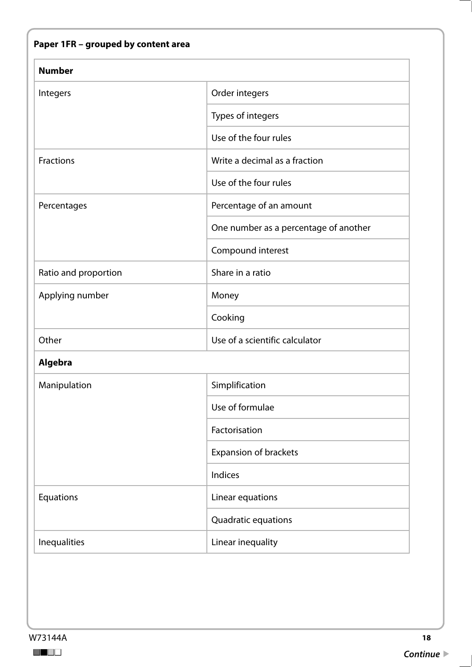| <b>Number</b>        |                                       |
|----------------------|---------------------------------------|
| Integers             | Order integers                        |
|                      | Types of integers                     |
|                      | Use of the four rules                 |
| <b>Fractions</b>     | Write a decimal as a fraction         |
|                      | Use of the four rules                 |
| Percentages          | Percentage of an amount               |
|                      | One number as a percentage of another |
|                      | Compound interest                     |
| Ratio and proportion | Share in a ratio                      |
| Applying number      | Money                                 |
|                      | Cooking                               |
| Other                | Use of a scientific calculator        |
| Algebra              |                                       |
| Manipulation         | Simplification                        |
|                      | Use of formulae                       |
|                      | Factorisation                         |
|                      | <b>Expansion of brackets</b>          |
|                      | Indices                               |
| Equations            | Linear equations                      |
|                      | Quadratic equations                   |
| Inequalities         | Linear inequality                     |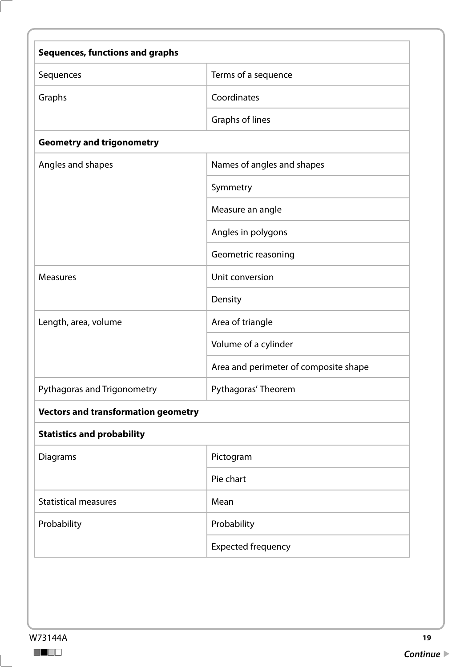| <b>Sequences, functions and graphs</b>     |                                       |
|--------------------------------------------|---------------------------------------|
| Sequences                                  | Terms of a sequence                   |
| Graphs                                     | Coordinates                           |
|                                            | Graphs of lines                       |
| <b>Geometry and trigonometry</b>           |                                       |
| Angles and shapes                          | Names of angles and shapes            |
|                                            | Symmetry                              |
|                                            | Measure an angle                      |
|                                            | Angles in polygons                    |
|                                            | Geometric reasoning                   |
| <b>Measures</b>                            | Unit conversion                       |
|                                            | Density                               |
| Length, area, volume                       | Area of triangle                      |
|                                            | Volume of a cylinder                  |
|                                            | Area and perimeter of composite shape |
| Pythagoras and Trigonometry                | Pythagoras' Theorem                   |
| <b>Vectors and transformation geometry</b> |                                       |
| <b>Statistics and probability</b>          |                                       |
| Diagrams                                   | Pictogram                             |
|                                            | Pie chart                             |
| <b>Statistical measures</b>                | Mean                                  |
| Probability                                | Probability                           |
|                                            | <b>Expected frequency</b>             |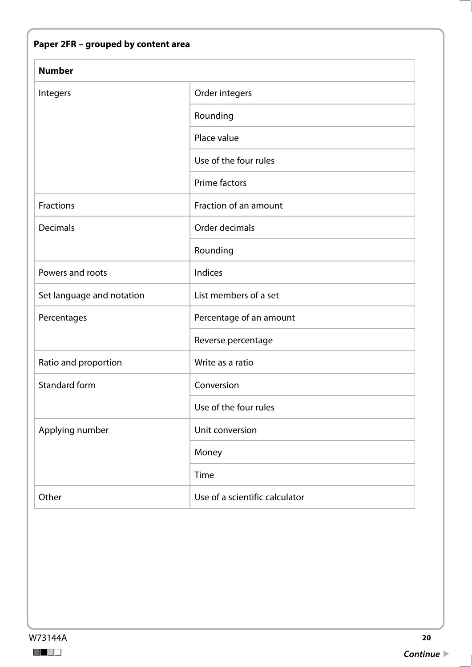|  |  |  |  | Paper 2FR – grouped by content area |
|--|--|--|--|-------------------------------------|
|--|--|--|--|-------------------------------------|

| <b>Number</b>             |                                |
|---------------------------|--------------------------------|
| Integers                  | Order integers                 |
|                           | Rounding                       |
|                           | Place value                    |
|                           | Use of the four rules          |
|                           | Prime factors                  |
| Fractions                 | Fraction of an amount          |
| <b>Decimals</b>           | Order decimals                 |
|                           | Rounding                       |
| Powers and roots          | Indices                        |
| Set language and notation | List members of a set          |
| Percentages               | Percentage of an amount        |
|                           | Reverse percentage             |
| Ratio and proportion      | Write as a ratio               |
| <b>Standard form</b>      | Conversion                     |
|                           | Use of the four rules          |
| Applying number           | Unit conversion                |
|                           | Money                          |
|                           | Time                           |
| Other                     | Use of a scientific calculator |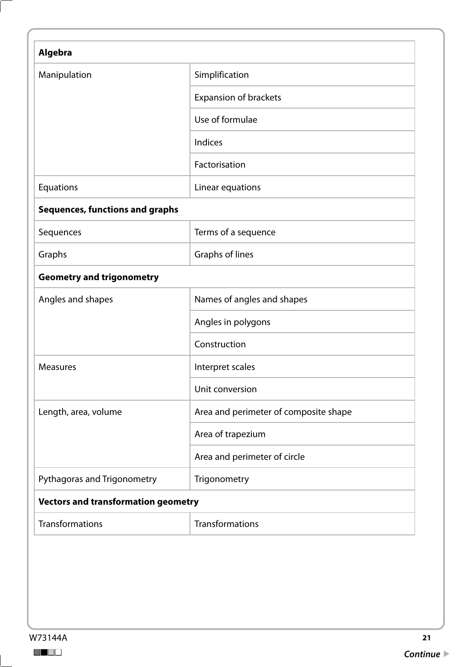| Manipulation                               | Simplification                        |
|--------------------------------------------|---------------------------------------|
|                                            | Expansion of brackets                 |
|                                            | Use of formulae                       |
|                                            | Indices                               |
|                                            | Factorisation                         |
| Equations                                  | Linear equations                      |
| <b>Sequences, functions and graphs</b>     |                                       |
| Sequences                                  | Terms of a sequence                   |
| Graphs                                     | Graphs of lines                       |
| <b>Geometry and trigonometry</b>           |                                       |
| Angles and shapes                          | Names of angles and shapes            |
|                                            | Angles in polygons                    |
|                                            | Construction                          |
| <b>Measures</b>                            | Interpret scales                      |
|                                            | Unit conversion                       |
| Length, area, volume                       | Area and perimeter of composite shape |
|                                            | Area of trapezium                     |
|                                            | Area and perimeter of circle          |
| Pythagoras and Trigonometry                | Trigonometry                          |
| <b>Vectors and transformation geometry</b> |                                       |
| Transformations                            | Transformations                       |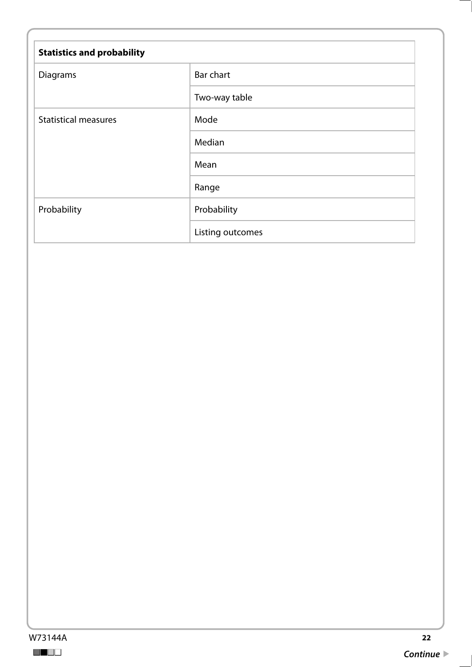| <b>Statistics and probability</b> |                  |
|-----------------------------------|------------------|
| Diagrams                          | <b>Bar chart</b> |
|                                   | Two-way table    |
| <b>Statistical measures</b>       | Mode             |
|                                   | Median           |
|                                   | Mean             |
|                                   | Range            |
| Probability                       | Probability      |
|                                   | Listing outcomes |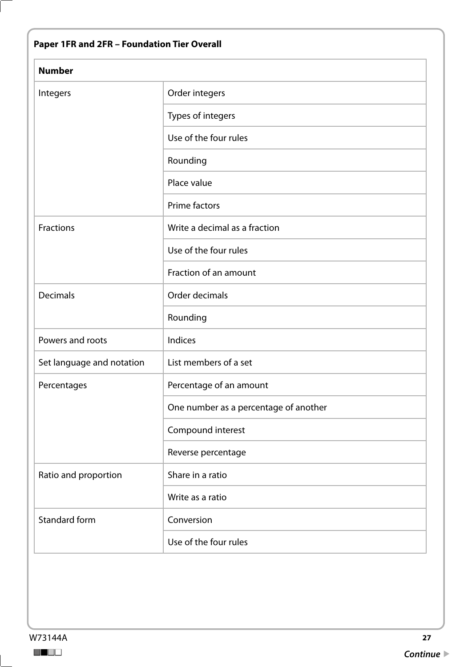| Paper 1FR and 2FR - Foundation Tier Overall |                                       |
|---------------------------------------------|---------------------------------------|
| <b>Number</b>                               |                                       |
| Integers                                    | Order integers                        |
|                                             | Types of integers                     |
|                                             | Use of the four rules                 |
|                                             | Rounding                              |
|                                             | Place value                           |
|                                             | Prime factors                         |
| Fractions                                   | Write a decimal as a fraction         |
|                                             | Use of the four rules                 |
|                                             | Fraction of an amount                 |
| <b>Decimals</b>                             | Order decimals                        |
|                                             | Rounding                              |
| Powers and roots                            | Indices                               |
| Set language and notation                   | List members of a set                 |
| Percentages                                 | Percentage of an amount               |
|                                             | One number as a percentage of another |
|                                             | Compound interest                     |
|                                             | Reverse percentage                    |
| Ratio and proportion                        | Share in a ratio                      |
|                                             | Write as a ratio                      |
| <b>Standard form</b>                        | Conversion                            |
|                                             | Use of the four rules                 |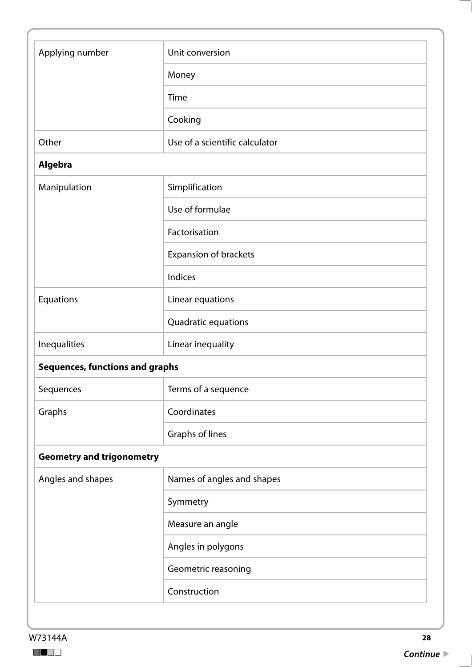| Applying number                        | Unit conversion                |
|----------------------------------------|--------------------------------|
|                                        | Money                          |
|                                        | Time                           |
|                                        | Cooking                        |
| Other                                  | Use of a scientific calculator |
| Algebra                                |                                |
| Manipulation                           | Simplification                 |
|                                        | Use of formulae                |
|                                        | Factorisation                  |
|                                        | Expansion of brackets          |
|                                        | Indices                        |
| Equations                              | Linear equations               |
|                                        | Quadratic equations            |
| Inequalities                           | Linear inequality              |
| <b>Sequences, functions and graphs</b> |                                |
| Sequences                              | Terms of a sequence            |
| Graphs                                 | Coordinates                    |
|                                        | Graphs of lines                |
| <b>Geometry and trigonometry</b>       |                                |
| Angles and shapes                      | Names of angles and shapes     |
|                                        | Symmetry                       |
|                                        | Measure an angle               |
|                                        | Angles in polygons             |
|                                        | Geometric reasoning            |
|                                        | Construction                   |